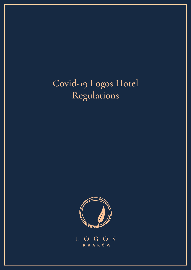# **Covid-19 Logos Hotel Regulations**



LOGOS **KRAKÓW**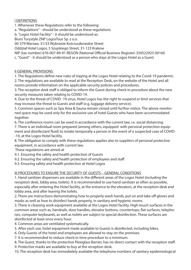### I DEFINITIONS

1. Whenever these Regulations refer to the following:

a. "Regulations" - should be understood as these regulations

b. "Logos Hotel Facility" - it should be understood as:

Biuro Turystyki ZNP LogosTour Sp. z o.o.

00-379 Warsaw, 31/33 Wybrzeże Kościuszkowskie Street

Oddział Hotel Logos, 5 Szujskiego Street, 31-123 Krakow

NIP (tax number) 676-007-89-91 REGON (National Official Business Register) 350522925-00160

c. "Guest" - it should be understood as a person who stays at the Logos Hotel as a Guest

### II GENERAL PROVISIONS

1. The Regulations define new rules of staying at the Logos Hotel relating to the Covid-19 pandemic.

2. The regulations are available to read at the Reception Desk, on the website of the Hotel and all rooms provide information on the applicable security policies and procedures.

3. The reception desk staff is obliged to inform the Guest during check-in procedure about the new security measures taken relating to COVID-19.

4. Due to the threat of COVID -19 virus, Hotel Logos has the right to suspend or limit services that may increase the threat to Guests and staff (e.g. luggage delivery service).

5. Common spaces such as Spa Area & Sauna remain closed until further notice. The above-mentioned space may be used only for the exclusive use of hotel Guests who have been accommodated together.

6. The conference rooms can be used in accordance with the current law, i.e. social distancing.

7. There is an individual room prepared (among others, equipped with personal protection equipment and disinfectant fluid) to isolate temporally a person in the event of a suspected case of COVID--19, at the Logos Hotel facility.

8. The obligation to comply with these regulations applies also to suppliers of personal protective equipment, in accordance with current law.

These regulations are aimed at

- 9.1. Ensuring the safety and health protection of Guests
- 9.2. Ensuring the safety and health protection of employees and staff
- 9.3. Ensuring safety and health protection at Hotel Logos

## III PROCEDURES TO ENSURE THE SECURITY OF GUESTS – GENERAL CONDITIONS

1. Hand sanitizer dispensers are available in the different areas of the Logos Hotel (including the reception desk, lobby area, toilets). It is recommended to use hand sanitizer as often as possible, especially after entering the Hotel facility, at the entrance to the elevators, at the reception desk and lobby area, and after leaving the toilets.

2. There are instructions demonstrating how to properly wash hands, put on and take off gloves and masks as well as how to disinfect hands properly, in sanitary and hygienic rooms.

3. There is cleaning work equipment available at the Logos Hotel facility. High-touch surfaces in the common areas such as, handrails, door handles, elevator buttons, countertops, flat surfaces, telephones, computer keyboards, as well as toilets are subject to special disinfection. These surfaces are disinfected at least once every hour.

- 4. Common areas are ventilated systematically.
- 5. After each use, hotel equipment made available to Guests is disinfected, including bikes.
- 6. Only Guests of the hotel and employees are allowed to stay on the premises.
- 7. It is recommended to reduce check-in time procedure to a minimum.

8. The Guest, thanks to the protective Plexiglass Barrier, has no direct contact with the reception staff. 9. Protective masks are available to buy at the reception desk.

10. The reception desk has immediately available the telephone numbers of sanitary epidemiological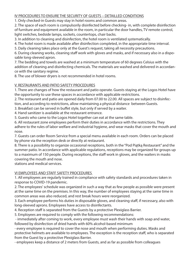#### IV PROCEDURES TO ENSURE THE SECURITY OF GUESTS – DETAILLED CONDITIONS

1. Only checked-in Guests may stay in hotel rooms and common areas.

2. The space of each room is compulsorily disinfected before checking- in, with complete disinfection of furniture and equipment available in the room, in particular the door handles, TV remote control, light switches, bedside lamps, sockets, countertops, chair backs.

3. In addition to cleaning and disinfection, the hotel room is ventilated systematically.

4. The hotel room is made available after disinfection completed, in the appropriate time interval.

5. Daily cleaning takes place only at the Guest's request, taking all necessity precautions.

6. During cleaning works, cleaning staff work with gloves and masks, and if necessary also in a disposable long-sleeved apron.

7. The bedding and towels are washed at a minimum temperature of 60 degrees Celsius with the addition of cleaning and disinfecting chemicals. The materials are washed and delivered in accordance with the sanitary regime.

8. The use of blower dryers is not recommended in hotel rooms.

### V. RESTAURANTS AND PATIO SAFETY PROCEDURES

1. There are changes of how the restaurant and patio operate. Guests staying at the Logos Hotel have the opportunity to use these spaces in accordance with applicable restrictions.

2. The restaurant and patio are opened daily from 07.00 to 22.00. All spaces are subject to disinfec-

tion, and according to restrictions, allow maintaining a physical distance between Guests.

3. Breakfast can be served in buffet style, but only if served by a waiter.

4. Hand sanitizer is available at the restaurant entrance.

5. Guests who came to the Logos Hotel together can eat at the same table.

6. All restaurant zone employees perform their duties in accordance with the restrictions. They adhere to the rules of labor welfare and industrial hygiene, and wear masks that cover the mouth and nose.

7. Guests can order Room Service from a special menu available in each room. Orders can be placed by phone via the reception desk or directly at restaurant.

8. There is a possibility to organize occasional receptions, both in the "Pod Piątką Restaurant" and the summer patio. In accordance with applicable regulations, receptions may be organized for groups up to a maximum of 150 people. During receptions, the staff work in gloves, and the waiters in masks covering the mouth and nose.

stations and medical services.

### VI EMPLOYEES AND STAFF SAFETY PROCEDURES

1. All employees are regularly trained in compliance with safety standards and procedures taken in response to COVID-19 pandemic.

2. The employees' schedule was organized in such a way that as few people as possible were present at the same time on the premises. In this way, the number of employees staying at the same time in common areas was also reduced, and rest break hours were reorganized.

3. Each employee performs his duties in disposable gloves, and cleaning staff, if necessary, also with long-sleeved aprons. Employees have access to disinfectants.

4. Reception staff is separated from the Guests by a protective Plexiglass Barrier.

5. Employees are required to comply with the following recommendations:

 - immediately after coming to work, every employee must wash their hands with soap and water, followed by disinfection of dried hands with 60% alcohol-based minimum

- every employee is required to cover the nose and mouth when performing duties. Masks and protective helmets are available to employees. The exception is the reception staff, who is separated from the Guest by a protective Plexiglass Barrier.

- employees keep a distance of 2 meters from Guests, and as far as possible from colleagues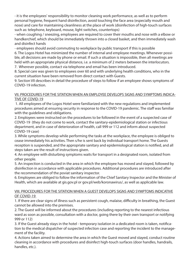- it is the employees' responsibility to monitor cleaning work performance, as well as to perform personal hygiene, frequent hand disinfection, avoid touching the face area (especially mouth and nose) and care for maintaining cleanliness at the place of work (disinfection of high-touch surfaces such as: telephone, keyboard, mouse, light switches, countertops)

- when coughing / sneezing, employees are required to cover their mouths and nose with a elbow or handkerchief, which should be immediately thrown into a closed basket, and then immediately wash and disinfect hands

- employees should avoid commuting to workplace by public transport if this is possible

6. The Logos Hotel has minimized the number of internal and employee meetings. Whenever possible, all decisions are made by phone or email. If such a situation is impossible, then all meetings are held with an appropriate physical distance, i.e. a minimum of 2 meters between the interlocutors. 7. Wherever possible, contact via telephone and email has been introduced.

8. Special care was given to employees over 60 and with underlying health conditions, who in the current situation have been removed from direct contact with Guests.

9. Section VII describes in detail the procedure of steps to follow if an employee shows symptoms of COVID-19 infection.

#### VII. PROCEDURES FOR THE SITATION WHEN AN EMPLOYEE DEVELOPS SIGNS AND SYMPTOMS INDICA-TIVE OF COVID-19

 1. All employees of the Logos Hotel were familiarized with the new regulations and implemented procedures aimed at ensuring security in response to the COVID-19 pandemic. The staff was familiar with the guidelines and obligations.

2. Employees were instructed on the procedures to be followed in the event of a suspected case of COVID-19 (they do not come to work, contact the sanitary-epidemiological station or infectious department, and in case of deterioration of health, call 999 or 112 and inform about suspected COVID-19 case)

3. While symptoms develop while performing the tasks at the workplace, the employee is obliged to cease immediately his activities. Then s/he is sent back by individual transport home. The Guests reception is suspended, and the appropriate sanitary and epidemiological station is notified, and all steps taken are the result of instructions given.

4. An employee with disturbing symptoms waits for transport in a designated room, isolated from other people.

5. An inspection is conducted in the area in which the employee has moved and stayed, followed by disinfection in accordance with applicable procedures. Additional procedures are introduced after the recommendation of the poviat sanitary inspector.

6. Employees are obliged to follow the information of the Chief Sanitary Inspector and the Minister of Health, which are available at gis.gov.pl or gov.pl/web/koronawirus/, as well as applicable law.

#### VIII. PROCEDURES FOR THE SITATION WHEN A GUEST DEVELOPS SIGNS AND SYMPTOMS INDICATIVE OF COVID-19

1. If there are clear signs of illness such as persistent cough, malaise, difficulty in breathing, the Guest cannot be allowed into the premises.

2. The Guest will be informed about the procedures (including reporting to the nearest infectious ward as soon as possible, consultation with a doctor, going there by their own transport or notifying 999 or 112)

3. If the Guest already stays in the hotel - temporary isolation in a dedicated room is taken, notification to the medical dispatcher of suspected infection case and reporting the incident to the management of the facility.

4. Actions taken aimed to determine the area in which the Guest moved and stayed, conduct routine cleaning in accordance with procedures and disinfect high-touch surfaces (door handles, handrails, handles, etc.).